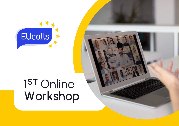

# 1ST Online Workshop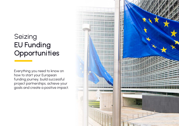### Seizing EU Funding **Opportunities**

Everything you need to know on how to start your European funding journey, build successful project partnerships, achieve your goals and create a positive impact.

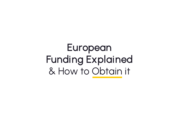# European Funding Explained & How to Obtain it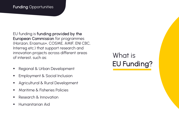EU funding is funding provided by the European Commission for programmes (Horizon, Erasmus+, COSME, AMIF, ENI CBC, Interreg etc.) that support research and innovation projects across different areas of interest, such as:

- **Regional & Urban Development**
- **Employment & Social Inclusion**
- Agricultural & Rural Development
- **Maritime & Fisheries Policies**
- **Research & Innovation**
- **Humanitarian Aid**

## What is EU Funding?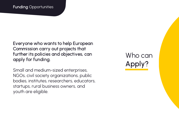Everyone who wants to help European Commission carry out projects that further its policies and objectives, can apply for funding.

Small and medium-sized enterprises, NGOs, civil society organizations, public bodies, institutes, researchers, educators, startups, rural business owners, and youth are eligible.

Who can Apply?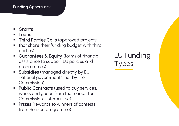- **Grants**
- Loans
- Third Parties Calls (approved projects
- **•** that share their funding budget with third parties)
- Guarantees & Equity (forms of financial assistance to support EU policies and programmes)
- **Subsidies** (managed directly by EU national governments, not by the Commission)
- **Public Contracts (used to buy services,** works and goods from the market for Commission's internal use)
- **Prizes** (rewards to winners of contests from Horizon programme)

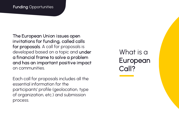The European Union issues open invitations for funding, called calls for proposals. A call for proposals is developed based on a topic and under a financial frame to solve a problem and has an important positive impact on communities.

Each call for proposals includes all the essential information for the participants' profile (geolocation, type of organization, etc.) and submission process.

What is a European Call?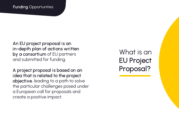An EU project proposal is an in-depth plan of actions written by a consortium of EU partners and submitted for funding.

A project proposal is based on an idea that is related to the project objective, leading to a path to solve the particular challenges posed under a European call for proposals and create a positive impact.

What is an EU Project Proposal?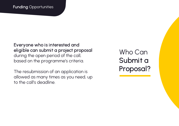Everyone who is interested and eligible can submit a project proposal during the open period of the call, based on the programme's criteria.

The resubmission of an application is allowed as many times as you need, up to the call's deadline.

Who Can Submit a Proposal?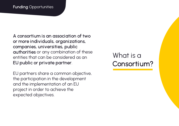A consortium is an association of two or more individuals, organizations, companies, universities, public authorities or any combination of these entities that can be considered as an EU public or private partner.

EU partners share a common objective, the participation in the development and the implementation of an EU project in order to achieve the expected objectives.

### What is a Consortium?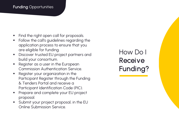- Find the right open call for proposals.
- Follow the call's guidelines regarding the application process to ensure that you are eligible for funding.
- **Discover trusted EU project partners and** build your consortium.
- Register as a user in the European Commission Authentication Service.
- Register your organization in the Participant Register through the Funding & Tenders Portal and receive a Participant Identification Code (PIC).
- **Prepare and complete your EU project** proposal.
- **Submit your project proposal, in the EU** Online Submission Service.

How Do I **Receive** Funding?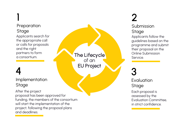### 1 **Preparation Stage**

Applicants search for the appropriate call or calls for proposals and the right partners to form a consortium.

## 4

### Implementation Stage

After the project proposal has been approved for funding, the members of the consortium will start the implementation of the project, following the proposal plans and deadlines.

The Lifecycle of an EU Project

# 2

### Submission Stage

Applicants follow the guidelines based on the programme and submit their proposal on the Online Submission Service.

## 3

**Evaluation Stage** 

Each proposal is assessed by the Evaluation Committee, in strict confidence.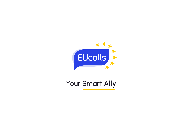

Your Smart Ally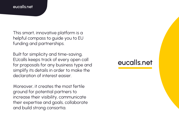#### eucalls.net

This smart, innovative platform is a helpful compass to guide you to EU funding and partnerships.

Built for simplicity and time-saving, EUcalls keeps track of every open call for proposals for any business type and simplify its details in order to make the declaration of interest easier.

Moreover, it creates the most fertile ground for potential partners to increase their visibility, communicate their expertise and goals, collaborate and build strong consortia.

### eucalls.net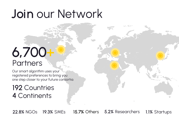# Join our Network

# 6,700+ **Partners**

Our smart algorithm uses your registered preferences to bring you one step closer to your future consortia.

### 192 Countries 4 Continents

22.8% NGOs 19.3% SMEs 15.7% Others 5.2% Researchers 1.1% Startups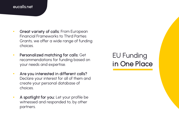#### eucalls.net

- Great variety of calls: From European Financial Frameworks to Third Parties Grants, we offer a wide range of funding choices.
- Personalized matching for calls: Get recommendations for funding based on your needs and expertise.
- Are you interested in different calls? Declare your interest for all of them and create your personal database of choices.
- A spotlight for you: Let your profile be witnessed and responded to, by other partners.

### EU Funding in One Place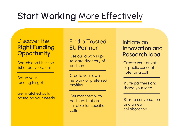## Start Working More Effectively

### Discover the Right Funding **Opportunity**

Search and filter the list of active EU calls

Setup your funding target

Get matched calls based on your needs

### Find a Trusted EU Partner

to-date directory of partners

Create your own network of preferred profiles

Get matched with partners that are suitable for specific calls

### Initiate an Innovation and Use our always up-<br>
Research Idea

Create your private or public concept note for a call

Invite partners and shape your idea

Start a conversation and a new collaboration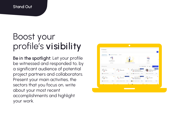#### **Stand Out**

## Boost your profile's visibility

Be in the spotlight: Let your profile be witnessed and responded to, by a significant audience of potential project partners and collaborators. Present your main activities, the sectors that you focus on, write about your most recent accomplishments and highlight your work.

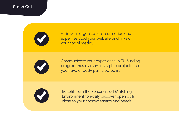#### Stand Out



Fill in your organization information and expertise. Add your website and links of your social media.



Communicate your experience in EU funding programmes by mentioning the projects that you have already participated in.



Benefit from the Personalised Matching Environment to easily discover open calls close to your characteristics and needs.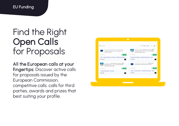## Find the Right Open Calls for Proposals

All the European calls at your fingertips: Discover active calls for proposals issued by the European Commission, competitive calls, calls for third parties, awards and prizes that best suiting your profile.

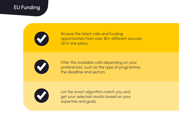### EU Funding



Browse the latest calls and funding opportunities from over 80+ different sources, all in one place.



Filter the available calls depending on your preferences, such as the type of programme, the deadline and sectors.



Let the smart algorithm match you and get your selected results based on your expertise and goals.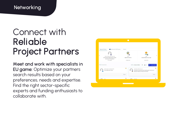### **Networking**

## Connect with Reliable Project Partners

Meet and work with specialists in EU game: Optimize your partners search results based on your preferences, needs and expertise. Find the right sector-specific experts and funding enthusiasts to collaborate with.

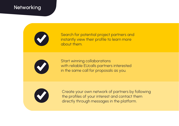### **Networking**



Search for potential project partners and instantly view their profile to learn more about them.



Start winning collaborations with reliable EUcalls partners interested in the same call for proposals as you.



Create your own network of partners by following the profiles of your interest and contact them directly through messages in the platform.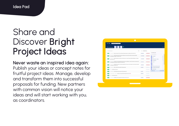## Share and Discover Bright Project Ideas

### Never waste an inspired idea again:

Publish your ideas or concept notes for fruitful project ideas. Manage, develop and transform them into successful proposals for funding. New partners with common vision will notice your ideas and will start working with you, as coordinators.

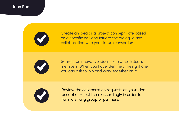#### Idea Pad



Create an idea or a project concept note based on a specific call and initiate the dialogue and collaboration with your future consortium.



Search for innovative ideas from other EUcalls members. When you have identified the right one, you can ask to join and work together on it.



Review the collaboration requests on your idea, accept or reject them accordingly in order to form a strong group of partners.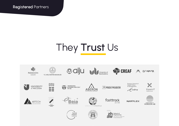Registered Partners

# They Trust Us

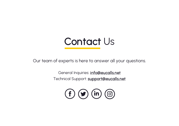

Our team of experts is here to answer all your questions.

General Inquiries: **[info@eucalls.net](mailto:info@eucalls.net)** Technical Support: [support@eucalls.net](mailto:support@eucalls.net)